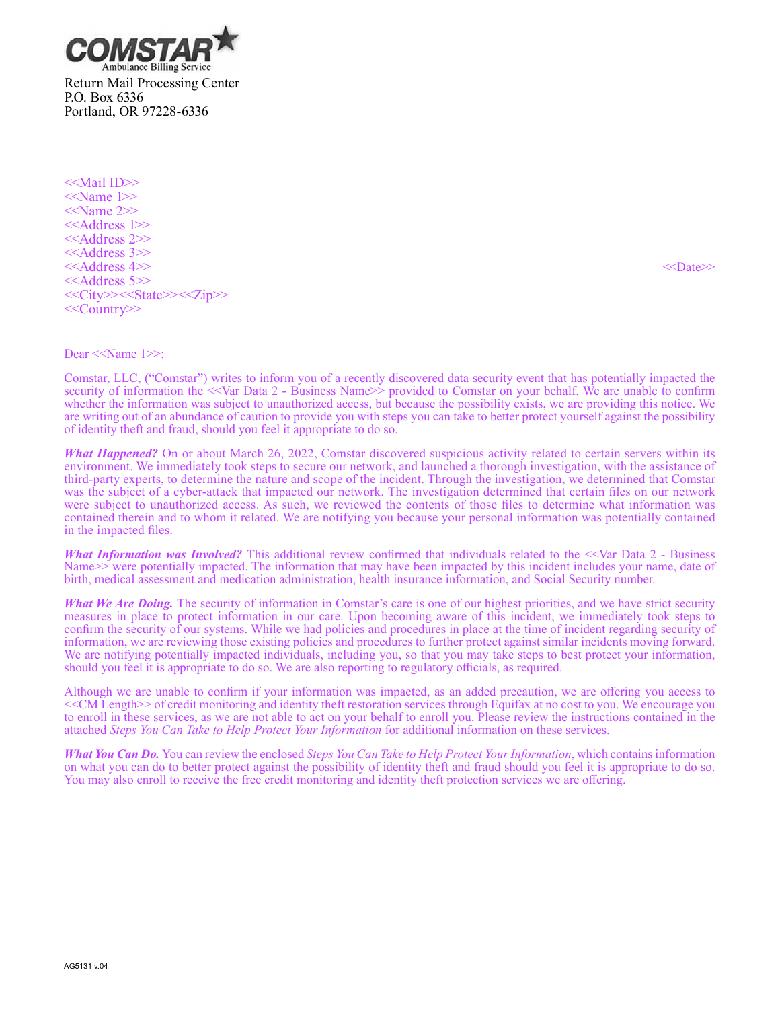

<<Mail ID>> <<Name 1>> <<Name 2>> <<Address 1>> <<Address 2>> <<Address 3>> <<Address 4>> <<Date>> <<Address 5>> <<City>><<State>><<Zip>> <<Country>>

#### Dear <<Name 1>>:

Comstar, LLC, ("Comstar") writes to inform you of a recently discovered data security event that has potentially impacted the security of information the <<Var Data 2 - Business Name>> provided to Comstar on your behalf. We are unable to confirm whether the information was subject to unauthorized access, but because the possibility exists, we are providing this notice. We are writing out of an abundance of caution to provide you with steps you can take to better protect yourself against the possibility of identity theft and fraud, should you feel it appropriate to do so.

*What Happened?* On or about March 26, 2022, Comstar discovered suspicious activity related to certain servers within its environment. We immediately took steps to secure our network, and launched a thorough investigation, with the assistance of third-party experts, to determine the nature and scope of the incident. Through the investigation, we determined that Comstar was the subject of a cyber-attack that impacted our network. The investigation determined that certain files on our network were subject to unauthorized access. As such, we reviewed the contents of those files to determine what information was contained therein and to whom it related. We are notifying you because your personal information was potentially contained in the impacted files.

*What Information was Involved?* This additional review confirmed that individuals related to the <<Var Data 2 - Business Name>> were potentially impacted. The information that may have been impacted by this incident includes your name, date of birth, medical assessment and medication administration, health insurance information, and Social Security number.

*What We Are Doing.* The security of information in Comstar's care is one of our highest priorities, and we have strict security measures in place to protect information in our care. Upon becoming aware of this incident, we immediately took steps to confirm the security of our systems. While we had policies and procedures in place at the time of incident regarding security of information, we are reviewing those existing policies and procedures to further protect against similar incidents moving forward. We are notifying potentially impacted individuals, including you, so that you may take steps to best protect your information, should you feel it is appropriate to do so. We are also reporting to regulatory officials, as required.

Although we are unable to confirm if your information was impacted, as an added precaution, we are offering you access to <<CM Length>> of credit monitoring and identity theft restoration services through Equifax at no cost to you. We encourage you to enroll in these services, as we are not able to act on your behalf to enroll you. Please review the instructions contained in the attached *Steps You Can Take to Help Protect Your Information* for additional information on these services.

*What You Can Do.* You can review the enclosed *Steps You Can Take to Help Protect Your Information*, which contains information on what you can do to better protect against the possibility of identity theft and fraud should you feel it is appropriate to do so. You may also enroll to receive the free credit monitoring and identity theft protection services we are offering.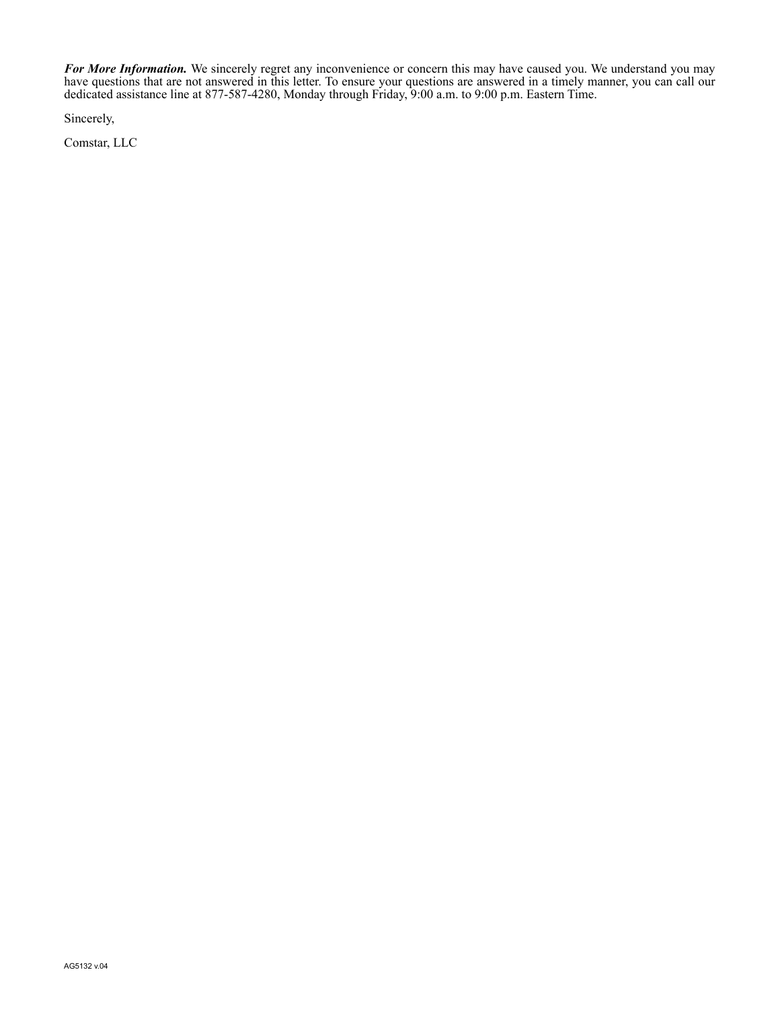*For More Information.* We sincerely regret any inconvenience or concern this may have caused you. We understand you may have questions that are not answered in this letter. To ensure your questions are answered in a timely manner, you can call our dedicated assistance line at 877-587-4280, Monday through Friday, 9:00 a.m. to 9:00 p.m. Eastern Time.

Sincerely,

Comstar, LLC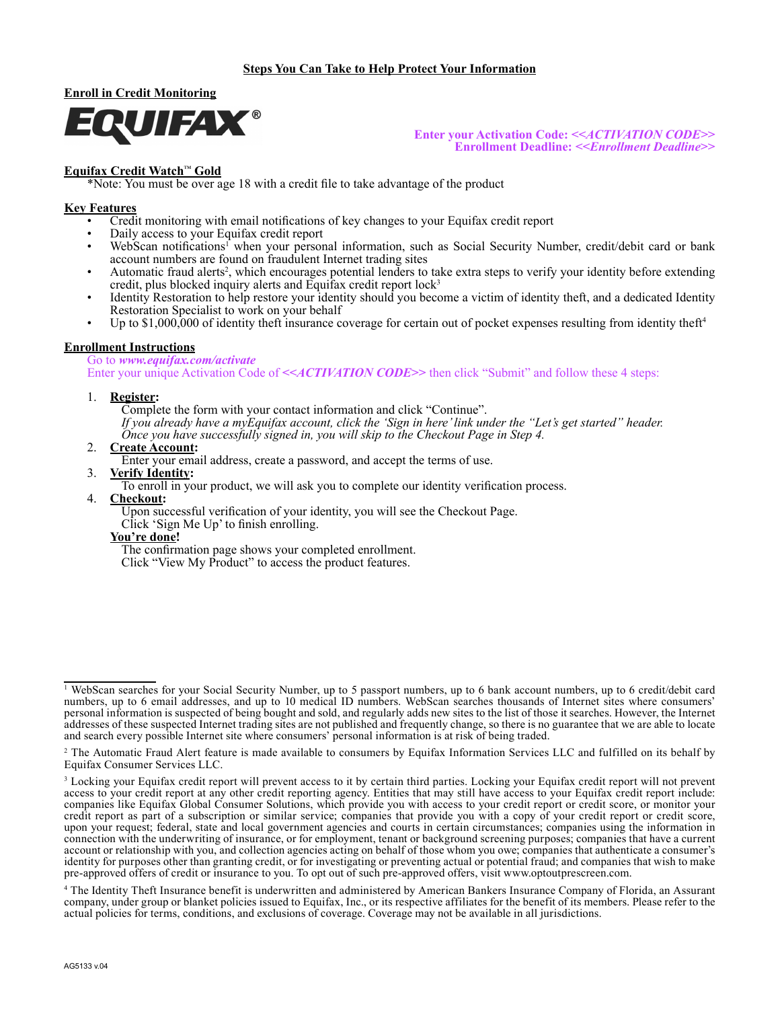

**Enter your Activation Code: <<***ACTIVATION CODE>***> Enrollment Deadline: <<***Enrollment Deadline***>>**

# **Equifax Credit Watch**™ **Gold**

\*Note: You must be over age 18 with a credit file to take advantage of the product

## **Key Features**

- Credit monitoring with email notifications of key changes to your Equifax credit report
- Daily access to your Equifax credit report
- WebScan notifications<sup>1</sup> when your personal information, such as Social Security Number, credit/debit card or bank account numbers are found on fraudulent Internet trading sites
- Automatic fraud alerts<sup>2</sup>, which encourages potential lenders to take extra steps to verify your identity before extending credit, plus blocked inquiry alerts and Equifax credit report  $lock<sup>3</sup>$
- Identity Restoration to help restore your identity should you become a victim of identity theft, and a dedicated Identity Restoration Specialist to work on your behalf
- Up to  $$1,000,000$  of identity theft insurance coverage for certain out of pocket expenses resulting from identity theft<sup>4</sup>

### **Enrollment Instructions**

Go to *www.equifax.com/activate* Enter your unique Activation Code of  $\leq$  *ACTIVATION CODE* $\geq$  then click "Submit" and follow these 4 steps:

#### 1. **Register:**

Complete the form with your contact information and click "Continue". *If you already have a myEquifax account, click the 'Sign in here' link under the "Let's get started" header. Once you have successfully signed in, you will skip to the Checkout Page in Step 4.*

- 2. **Create Account:**
	- Enter your email address, create a password, and accept the terms of use.
- 3. **Verify Identity:**

To enroll in your product, we will ask you to complete our identity verification process.

4. **Checkout:**

Upon successful verification of your identity, you will see the Checkout Page.

- Click 'Sign Me Up' to finish enrolling.
- **You're done!**

The confirmation page shows your completed enrollment.

Click "View My Product" to access the product features.

<sup>1</sup> WebScan searches for your Social Security Number, up to 5 passport numbers, up to 6 bank account numbers, up to 6 credit/debit card numbers, up to 6 email addresses, and up to 10 medical ID numbers. WebScan searches thousands of Internet sites where consumers' personal information is suspected of being bought and sold, and regularly adds new sites to the list of those it searches. However, the Internet addresses of these suspected Internet trading sites are not published and frequently change, so there is no guarantee that we are able to locate and search every possible Internet site where consumers' personal information is at risk of being traded.

<sup>&</sup>lt;sup>2</sup> The Automatic Fraud Alert feature is made available to consumers by Equifax Information Services LLC and fulfilled on its behalf by Equifax Consumer Services LLC.

<sup>&</sup>lt;sup>3</sup> Locking your Equifax credit report will prevent access to it by certain third parties. Locking your Equifax credit report will not prevent access to your credit report at any other credit reporting agency. Entities that may still have access to your Equifax credit report include: companies like Equifax Global Consumer Solutions, which provide you with access to your credit report or credit score, or monitor your credit report as part of a subscription or similar service; companies that provide you with a copy of your credit report or credit score, upon your request; federal, state and local government agencies and courts in certain circumstances; companies using the information in connection with the underwriting of insurance, or for employment, tenant or background screening purposes; companies that have a current account or relationship with you, and collection agencies acting on behalf of those whom you owe; companies that authenticate a consumer's identity for purposes other than granting credit, or for investigating or preventing actual or potential fraud; and companies that wish to make pre-approved offers of credit or insurance to you. To opt out of such pre-approved offers, visit www.optoutprescreen.com.

<sup>4</sup> The Identity Theft Insurance benefit is underwritten and administered by American Bankers Insurance Company of Florida, an Assurant company, under group or blanket policies issued to Equifax, Inc., or its respective affiliates for the benefit of its members. Please refer to the actual policies for terms, conditions, and exclusions of coverage. Coverage may not be available in all jurisdictions.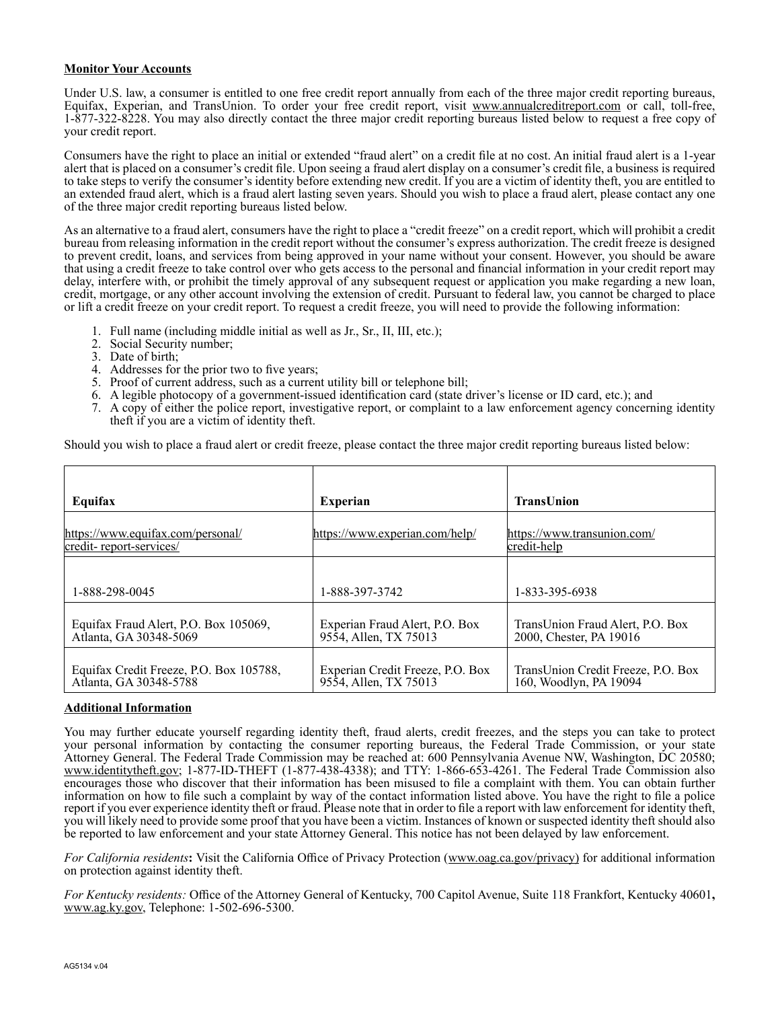### **Monitor Your Accounts**

Under U.S. law, a consumer is entitled to one free credit report annually from each of the three major credit reporting bureaus, Equifax, Experian, and TransUnion. To order your free credit report, visit www.annualcreditreport.com or call, toll-free, 1-877-322-8228. You may also directly contact the three major credit reporting bureaus listed below to request a free copy of your credit report.

Consumers have the right to place an initial or extended "fraud alert" on a credit file at no cost. An initial fraud alert is a 1-year alert that is placed on a consumer's credit file. Upon seeing a fraud alert display on a consumer's credit file, a business is required to take steps to verify the consumer's identity before extending new credit. If you are a victim of identity theft, you are entitled to an extended fraud alert, which is a fraud alert lasting seven years. Should you wish to place a fraud alert, please contact any one of the three major credit reporting bureaus listed below.

As an alternative to a fraud alert, consumers have the right to place a "credit freeze" on a credit report, which will prohibit a credit bureau from releasing information in the credit report without the consumer's express authorization. The credit freeze is designed to prevent credit, loans, and services from being approved in your name without your consent. However, you should be aware that using a credit freeze to take control over who gets access to the personal and financial information in your credit report may delay, interfere with, or prohibit the timely approval of any subsequent request or application you make regarding a new loan, credit, mortgage, or any other account involving the extension of credit. Pursuant to federal law, you cannot be charged to place or lift a credit freeze on your credit report. To request a credit freeze, you will need to provide the following information:

- 1. Full name (including middle initial as well as Jr., Sr., II, III, etc.);
- 2. Social Security number;
- 3. Date of birth;
- 4. Addresses for the prior two to five years;
- 5. Proof of current address, such as a current utility bill or telephone bill;
- 6. A legible photocopy of a government-issued identification card (state driver's license or ID card, etc.); and
- 7. A copy of either the police report, investigative report, or complaint to a law enforcement agency concerning identity theft if you are a victim of identity theft.

Should you wish to place a fraud alert or credit freeze, please contact the three major credit reporting bureaus listed below:

| Equifax                                                           | <b>Experian</b>                                           | <b>TransUnion</b>                                            |
|-------------------------------------------------------------------|-----------------------------------------------------------|--------------------------------------------------------------|
| https://www.equifax.com/personal/<br>credit-report-services/      | https://www.experian.com/help/                            | https://www.transunion.com/<br>credit-help                   |
| 1-888-298-0045                                                    | 1-888-397-3742                                            | 1-833-395-6938                                               |
| Equifax Fraud Alert, P.O. Box 105069,<br>Atlanta, GA 30348-5069   | Experian Fraud Alert, P.O. Box<br>9554, Allen, TX 75013   | TransUnion Fraud Alert, P.O. Box<br>2000, Chester, PA 19016  |
| Equifax Credit Freeze, P.O. Box 105788,<br>Atlanta, GA 30348-5788 | Experian Credit Freeze, P.O. Box<br>9554, Allen, TX 75013 | TransUnion Credit Freeze, P.O. Box<br>160, Woodlyn, PA 19094 |

# **Additional Information**

You may further educate yourself regarding identity theft, fraud alerts, credit freezes, and the steps you can take to protect your personal information by contacting the consumer reporting bureaus, the Federal Trade Commission, or your state Attorney General. The Federal Trade Commission may be reached at: 600 Pennsylvania Avenue NW, Washington, DC 20580; www.identitytheft.gov; 1-877-ID-THEFT (1-877-438-4338); and TTY: 1-866-653-4261. The Federal Trade Commission also encourages those who discover that their information has been misused to file a complaint with them. You can obtain further information on how to file such a complaint by way of the contact information listed above. You have the right to file a police report if you ever experience identity theft or fraud. Please note that in order to file a report with law enforcement for identity theft, you will likely need to provide some proof that you have been a victim. Instances of known or suspected identity theft should also be reported to law enforcement and your state Attorney General. This notice has not been delayed by law enforcement.

*For California residents***:** Visit the California Office of Privacy Protection (www.oag.ca.gov/privacy) for additional information on protection against identity theft.

*For Kentucky residents:* Office of the Attorney General of Kentucky, 700 Capitol Avenue, Suite 118 Frankfort, Kentucky 40601**,** www.ag.ky.gov, Telephone: 1-502-696-5300.